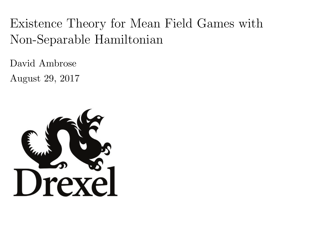# <span id="page-0-0"></span>Existence Theory for Mean Field Games with Non-Separable Hamiltonian

David Ambrose

August 29, 2017

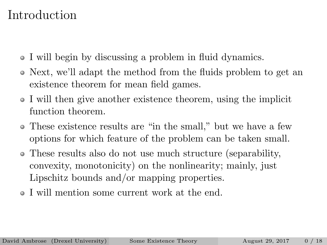# Introduction

- I will begin by discussing a problem in fluid dynamics.
- Next, we'll adapt the method from the fluids problem to get an existence theorem for mean field games.
- I will then give another existence theorem, using the implicit function theorem.
- These existence results are "in the small," but we have a few options for which feature of the problem can be taken small.
- These results also do not use much structure (separability, convexity, monotonicity) on the nonlinearity; mainly, just Lipschitz bounds and/or mapping properties.
- I will mention some current work at the end.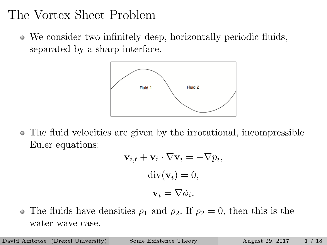# The Vortex Sheet Problem

We consider two infinitely deep, horizontally periodic fluids, separated by a sharp interface.



The fluid velocities are given by the irrotational, incompressible Euler equations:

$$
\mathbf{v}_{i,t} + \mathbf{v}_i \cdot \nabla \mathbf{v}_i = -\nabla p_i,
$$
  
div( $\mathbf{v}_i$ ) = 0,  

$$
\mathbf{v}_i = \nabla \phi_i.
$$

• The fluids have densities  $\rho_1$  and  $\rho_2$ . If  $\rho_2 = 0$ , then this is the water wave case.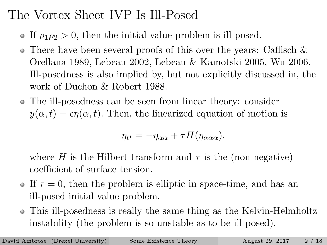# The Vortex Sheet IVP Is Ill-Posed

- If  $\rho_1 \rho_2 > 0$ , then the initial value problem is ill-posed.
- There have been several proofs of this over the years: Caflisch & Orellana 1989, Lebeau 2002, Lebeau & Kamotski 2005, Wu 2006. Ill-posedness is also implied by, but not explicitly discussed in, the work of Duchon & Robert 1988.
- The ill-posedness can be seen from linear theory: consider  $y(\alpha, t) = \epsilon \eta(\alpha, t)$ . Then, the linearized equation of motion is

$$
\eta_{tt} = -\eta_{\alpha\alpha} + \tau H(\eta_{\alpha\alpha\alpha}),
$$

where H is the Hilbert transform and  $\tau$  is the (non-negative) coefficient of surface tension.

- If  $\tau = 0$ , then the problem is elliptic in space-time, and has an ill-posed initial value problem.
- This ill-posedness is really the same thing as the Kelvin-Helmholtz instability (the problem is so unstable as to be ill-posed).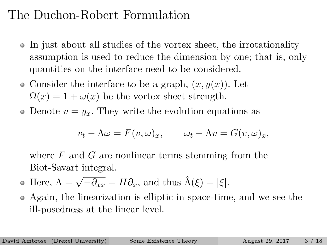# The Duchon-Robert Formulation

- In just about all studies of the vortex sheet, the irrotationality  $\bullet$ assumption is used to reduce the dimension by one; that is, only quantities on the interface need to be considered.
- Consider the interface to be a graph,  $(x, y(x))$ . Let  $\Omega(x) = 1 + \omega(x)$  be the vortex sheet strength.
- Denote  $v = y_x$ . They write the evolution equations as

$$
v_t - \Lambda \omega = F(v, \omega)_x, \qquad \omega_t - \Lambda v = G(v, \omega)_x,
$$

where  $F$  and  $G$  are nonlinear terms stemming from the Biot-Savart integral.

• Here, 
$$
\Lambda = \sqrt{-\partial_{xx}} = H\partial_x
$$
, and thus  $\hat{\Lambda}(\xi) = |\xi|$ .

Again, the linearization is elliptic in space-time, and we see the ill-posedness at the linear level.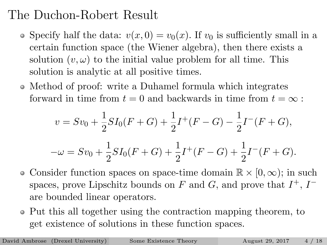# The Duchon-Robert Result

- Specify half the data:  $v(x, 0) = v_0(x)$ . If  $v_0$  is sufficiently small in a certain function space (the Wiener algebra), then there exists a solution  $(v, \omega)$  to the initial value problem for all time. This solution is analytic at all positive times.
- Method of proof: write a Duhamel formula which integrates forward in time from  $t = 0$  and backwards in time from  $t = \infty$ :

$$
v = Sv_0 + \frac{1}{2}SI_0(F+G) + \frac{1}{2}I^+(F-G) - \frac{1}{2}I^-(F+G),
$$
  

$$
-\omega = Sv_0 + \frac{1}{2}SI_0(F+G) + \frac{1}{2}I^+(F-G) + \frac{1}{2}I^-(F+G).
$$

- Consider function spaces on space-time domain  $\mathbb{R} \times [0, \infty)$ ; in such spaces, prove Lipschitz bounds on F and G, and prove that  $I^+$ ,  $I^$ are bounded linear operators.
- Put this all together using the contraction mapping theorem, to get existence of solutions in these function spaces.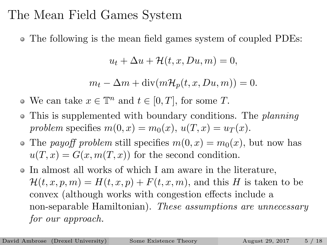### The Mean Field Games System

The following is the mean field games system of coupled PDEs:

$$
u_t + \Delta u + \mathcal{H}(t, x, Du, m) = 0,
$$

$$
m_t - \Delta m + \text{div}(m\mathcal{H}_p(t, x, Du, m)) = 0.
$$

- We can take  $x \in \mathbb{T}^n$  and  $t \in [0, T]$ , for some T.
- This is supplemented with boundary conditions. The *planning* problem specifies  $m(0, x) = m_0(x), u(T, x) = u_T(x)$ .
- The payoff problem still specifies  $m(0, x) = m_0(x)$ , but now has  $u(T, x) = G(x, m(T, x))$  for the second condition.
- In almost all works of which I am aware in the literature,  $\mathcal{H}(t, x, p, m) = H(t, x, p) + F(t, x, m)$ , and this H is taken to be convex (although works with congestion effects include a non-separable Hamiltonian). These assumptions are unnecessary for our approach.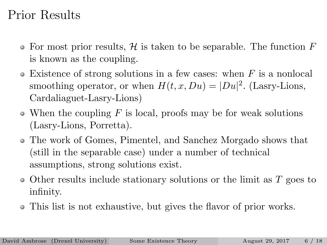# Prior Results

- For most prior results,  $H$  is taken to be separable. The function  $F$ is known as the coupling.
- $\bullet$  Existence of strong solutions in a few cases: when F is a nonlocal smoothing operator, or when  $H(t, x, Du) = |Du|^2$ . (Lasry-Lions, Cardaliaguet-Lasry-Lions)
- $\bullet$  When the coupling F is local, proofs may be for weak solutions (Lasry-Lions, Porretta).
- The work of Gomes, Pimentel, and Sanchez Morgado shows that (still in the separable case) under a number of technical assumptions, strong solutions exist.
- $\bullet$  Other results include stationary solutions or the limit as T goes to infinity.
- This list is not exhaustive, but gives the flavor of prior works.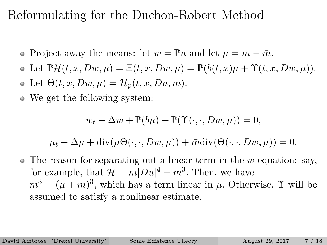# Reformulating for the Duchon-Robert Method

- Project away the means: let  $w = \mathbb{P}u$  and let  $\mu = m \overline{m}$ .
- $\Phi \text{ Let } \mathbb{P}\mathcal{H}(t, x, Dw, \mu) = \Xi(t, x, Dw, \mu) = \mathbb{P}(b(t, x)\mu + \Upsilon(t, x, Dw, \mu)).$
- Let  $\Theta(t, x, Dw, \mu) = \mathcal{H}_n(t, x, Du, m).$
- We get the following system:

$$
w_t + \Delta w + \mathbb{P}(b\mu) + \mathbb{P}(\Upsilon(\cdot,\cdot,Dw,\mu)) = 0,
$$

$$
\mu_t - \Delta \mu + \text{div}(\mu \Theta(\cdot, \cdot, Dw, \mu)) + \bar{m} \text{div}(\Theta(\cdot, \cdot, Dw, \mu)) = 0.
$$

 $\bullet$  The reason for separating out a linear term in the w equation: say, for example, that  $\mathcal{H} = m|Du|^4 + m^3$ . Then, we have  $m^3 = (\mu + \bar{m})^3$ , which has a term linear in  $\mu$ . Otherwise,  $\Upsilon$  will be assumed to satisfy a nonlinear estimate.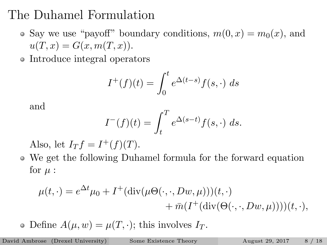# The Duhamel Formulation

- Say we use "payoff" boundary conditions,  $m(0, x) = m_0(x)$ , and  $u(T, x) = G(x, m(T, x)).$
- Introduce integral operators

$$
I^+(f)(t) = \int_0^t e^{\Delta(t-s)} f(s, \cdot) ds
$$

and

$$
I^-(f)(t) = \int_t^T e^{\Delta(s-t)} f(s, \cdot) ds.
$$

Also, let  $I_T f = I^+(f)(T)$ .

We get the following Duhamel formula for the forward equation for  $\mu$  :

$$
\mu(t,\cdot) = e^{\Delta t} \mu_0 + I^+(\text{div}(\mu\Theta(\cdot,\cdot,Dw,\mu)))(t,\cdot) + \bar{m}(I^+(\text{div}(\Theta(\cdot,\cdot,Dw,\mu))))(t,\cdot),
$$

• Define  $A(\mu, w) = \mu(T, \cdot)$ ; this involves  $I_T$ .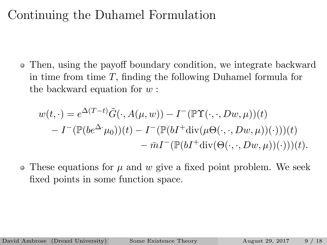### Continuing the Duhamel Formulation

Then, using the payoff boundary condition, we integrate backward in time from time T, finding the following Duhamel formula for the backward equation for  $w$ :

$$
w(t, \cdot) = e^{\Delta(T-t)} \tilde{G}(\cdot, A(\mu, w)) - I^-(\mathbb{P}\Upsilon(\cdot, \cdot, Dw, \mu))(t)
$$
  
- 
$$
I^-(\mathbb{P}(be^{\Delta^*}\mu_0))(t) - I^-(\mathbb{P}(bI^+ \text{div}(\mu\Theta(\cdot, \cdot, Dw, \mu))(\cdot)))(t)
$$
  
- 
$$
\bar{m}I^-(\mathbb{P}(bI^+ \text{div}(\Theta(\cdot, \cdot, Dw, \mu))(\cdot)))(t).
$$

 $\bullet$  These equations for  $\mu$  and  $w$  give a fixed point problem. We seek fixed points in some function space.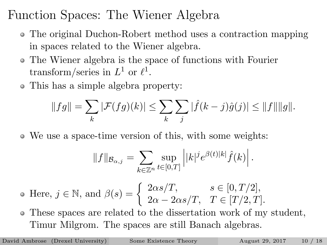Function Spaces: The Wiener Algebra

- The original Duchon-Robert method uses a contraction mapping in spaces related to the Wiener algebra.
- The Wiener algebra is the space of functions with Fourier transform/series in  $L^1$  or  $\ell^1$ .
- This has a simple algebra property:

$$
||fg|| = \sum_{k} |\mathcal{F}(fg)(k)| \leq \sum_{k} \sum_{j} |\hat{f}(k-j)\hat{g}(j)| \leq ||f|| ||g||.
$$

We use a space-time version of this, with some weights:

$$
||f||_{\mathcal{B}_{\alpha,j}} = \sum_{k \in \mathbb{Z}^n} \sup_{t \in [0,T]} \left| |k|^j e^{\beta(t)|k|} \hat{f}(k) \right|.
$$

- Here,  $j \in \mathbb{N}$ , and  $\beta(s) = \begin{cases} 2\alpha s/T, & s \in [0, T/2], \\ 2\alpha s/T, & T \in [T/2, T] \end{cases}$  $2\alpha - 2\alpha s/T$ ,  $T \in [T/2, T]$ .
- These spaces are related to the dissertation work of my student, Timur Milgrom. The spaces are still Banach algebras.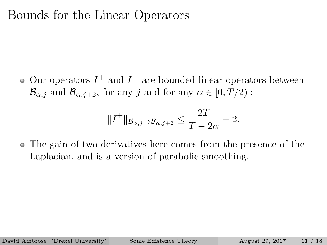### Bounds for the Linear Operators

Our operators  $I^+$  and  $I^-$  are bounded linear operators between  $\mathcal{B}_{\alpha,i}$  and  $\mathcal{B}_{\alpha,i+2}$ , for any j and for any  $\alpha \in [0,T/2)$ :

$$
||I^{\pm}||_{\mathcal{B}_{\alpha,j}\to\mathcal{B}_{\alpha,j+2}} \leq \frac{2T}{T-2\alpha}+2.
$$

The gain of two derivatives here comes from the presence of the Laplacian, and is a version of parabolic smoothing.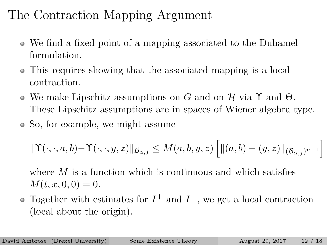# The Contraction Mapping Argument

- We find a fixed point of a mapping associated to the Duhamel formulation.
- This requires showing that the associated mapping is a local contraction.
- We make Lipschitz assumptions on G and on H via  $\Upsilon$  and  $\Theta$ . These Lipschitz assumptions are in spaces of Wiener algebra type.
- So, for example, we might assume

$$
\|\Upsilon(\cdot,\cdot,a,b)-\Upsilon(\cdot,\cdot,y,z)\|_{\mathcal{B}_{\alpha,j}}\leq M(a,b,y,z)\left[\|(a,b)-(y,z)\|_{(\mathcal{B}_{\alpha,j})^{n+1}}\right].
$$

where  $M$  is a function which is continuous and which satisfies  $M(t, x, 0, 0) = 0.$ 

Together with estimates for  $I^+$  and  $I^-$ , we get a local contraction (local about the origin).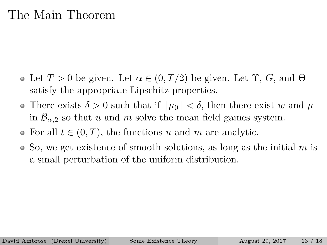### The Main Theorem

- Let  $T > 0$  be given. Let  $\alpha \in (0, T/2)$  be given. Let  $\Upsilon$ ,  $G$ , and  $\Theta$ satisfy the appropriate Lipschitz properties.
- There exists  $\delta > 0$  such that if  $\|\mu_0\| < \delta$ , then there exist w and  $\mu$ in  $\mathcal{B}_{\alpha,2}$  so that u and m solve the mean field games system.
- For all  $t \in (0, T)$ , the functions u and m are analytic.
- $\bullet$  So, we get existence of smooth solutions, as long as the initial m is a small perturbation of the uniform distribution.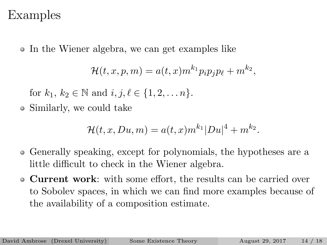#### Examples

In the Wiener algebra, we can get examples like

$$
\mathcal{H}(t,x,p,m) = a(t,x)m^{k_1}p_ip_jp_\ell + m^{k_2},
$$

for  $k_1, k_2 \in \mathbb{N}$  and  $i, j, \ell \in \{1, 2, \ldots n\}.$ 

Similarly, we could take

$$
\mathcal{H}(t, x, Du, m) = a(t, x) m^{k_1} |Du|^4 + m^{k_2}.
$$

- Generally speaking, except for polynomials, the hypotheses are a little difficult to check in the Wiener algebra.
- Current work: with some effort, the results can be carried over to Sobolev spaces, in which we can find more examples because of the availability of a composition estimate.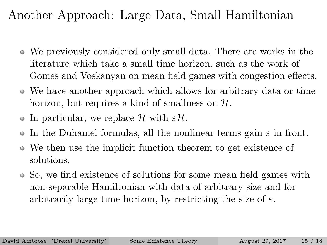# Another Approach: Large Data, Small Hamiltonian

- We previously considered only small data. There are works in the literature which take a small time horizon, such as the work of Gomes and Voskanyan on mean field games with congestion effects.
- We have another approach which allows for arbitrary data or time horizon, but requires a kind of smallness on  $H$ .
- In particular, we replace  $\mathcal H$  with  $\epsilon \mathcal H$ .
- In the Duhamel formulas, all the nonlinear terms gain  $\varepsilon$  in front.  $\bullet$
- We then use the implicit function theorem to get existence of solutions.
- So, we find existence of solutions for some mean field games with non-separable Hamiltonian with data of arbitrary size and for arbitrarily large time horizon, by restricting the size of  $\varepsilon$ .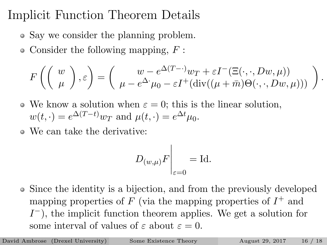# Implicit Function Theorem Details

- Say we consider the planning problem.
- $\bullet$  Consider the following mapping,  $F$ :

$$
F\left(\left(\begin{array}{c}w\\ \mu\end{array}\right),\varepsilon\right)=\left(\begin{array}{c}w-e^{\Delta(T-\cdot)}w_T+\varepsilon I^-(\Xi(\cdot,\cdot,Dw,\mu))\\ \mu-e^{\Delta\cdot}\mu_0-\varepsilon I^+(\mathrm{div}((\mu+\bar{m})\Theta(\cdot,\cdot,Dw,\mu)))\end{array}\right)
$$

.

- We know a solution when  $\varepsilon = 0$ ; this is the linear solution,  $w(t, \cdot) = e^{\Delta(T-t)} w_T$  and  $\mu(t, \cdot) = e^{\Delta t} \mu_0$ .
- We can take the derivative:

$$
D_{(w,\mu)}F\Big|_{\varepsilon=0} = \text{Id}.
$$

• Since the identity is a bijection, and from the previously developed mapping properties of  $F$  (via the mapping properties of  $I^+$  and  $I^-$ ), the implicit function theorem applies. We get a solution for some interval of values of  $\varepsilon$  about  $\varepsilon = 0$ .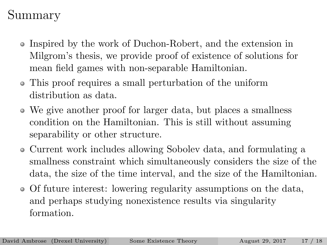# Summary

- Inspired by the work of Duchon-Robert, and the extension in Milgrom's thesis, we provide proof of existence of solutions for mean field games with non-separable Hamiltonian.
- This proof requires a small perturbation of the uniform distribution as data.
- We give another proof for larger data, but places a smallness condition on the Hamiltonian. This is still without assuming separability or other structure.
- Current work includes allowing Sobolev data, and formulating a smallness constraint which simultaneously considers the size of the data, the size of the time interval, and the size of the Hamiltonian.
- Of future interest: lowering regularity assumptions on the data, and perhaps studying nonexistence results via singularity formation.